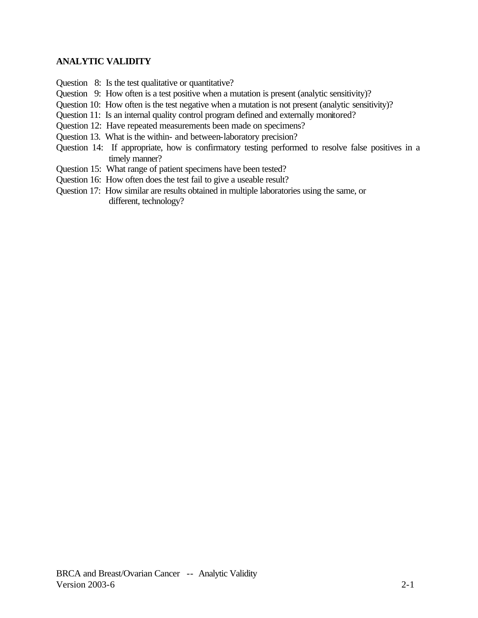- Question 8: Is the test qualitative or quantitative?
- Question 9: How often is a test positive when a mutation is present (analytic sensitivity)?
- Question 10: How often is the test negative when a mutation is not present (analytic sensitivity)?
- Question 11: Is an internal quality control program defined and externally monitored?
- Question 12: Have repeated measurements been made on specimens?
- Question 13. What is the within- and between-laboratory precision?
- Question 14: If appropriate, how is confirmatory testing performed to resolve false positives in a timely manner?
- Question 15: What range of patient specimens have been tested?
- Question 16: How often does the test fail to give a useable result?
- Question 17: How similar are results obtained in multiple laboratories using the same, or different, technology?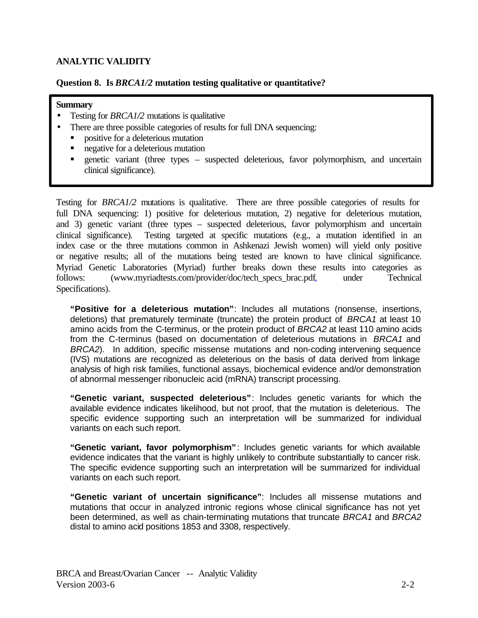# **Question 8. Is** *BRCA1/2* **mutation testing qualitative or quantitative?**

#### **Summary**

- Testing for *BRCA1/2* mutations is qualitative
	- There are three possible categories of results for full DNA sequencing:
		- � positive for a deleterious mutation
		- � negative for a deleterious mutation
		- � genetic variant (three types suspected deleterious, favor polymorphism, and uncertain clinical significance).

Testing for *BRCA1/2* mutations is qualitative. There are three possible categories of results for full DNA sequencing: 1) positive for deleterious mutation, 2) negative for deleterious mutation, and 3) genetic variant (three types – suspected deleterious, favor polymorphism and uncertain clinical significance). Testing targeted at specific mutations (e.g., a mutation identified in an index case or the three mutations common in Ashkenazi Jewish women) will yield only positive or negative results; all of the mutations being tested are known to have clinical significance. Myriad Genetic Laboratories (Myriad) further breaks down these results into categories as follows: (www.myriadtests.com/provider/doc/tech\_specs\_brac.pdf, under Technical Specifications).

**"Positive for a deleterious mutation"**: Includes all mutations (nonsense, insertions, deletions) that prematurely terminate (truncate) the protein product of *BRCA1* at least 10 amino acids from the C-terminus, or the protein product of *BRCA2* at least 110 amino acids from the C-terminus (based on documentation of deleterious mutations in *BRCA1* and *BRCA2*). In addition, specific missense mutations and non-coding intervening sequence (IVS) mutations are recognized as deleterious on the basis of data derived from linkage analysis of high risk families, functional assays, biochemical evidence and/or demonstration of abnormal messenger ribonucleic acid (mRNA) transcript processing.

**"Genetic variant, suspected deleterious"**: Includes genetic variants for which the available evidence indicates likelihood, but not proof, that the mutation is deleterious. The specific evidence supporting such an interpretation will be summarized for individual variants on each such report.

**"Genetic variant, favor polymorphism"** : Includes genetic variants for which available evidence indicates that the variant is highly unlikely to contribute substantially to cancer risk. The specific evidence supporting such an interpretation will be summarized for individual variants on each such report.

**"Genetic variant of uncertain significance"**: Includes all missense mutations and mutations that occur in analyzed intronic regions whose clinical significance has not yet been determined, as well as chain-terminating mutations that truncate *BRCA1* and *BRCA2*  distal to amino acid positions 1853 and 3308, respectively.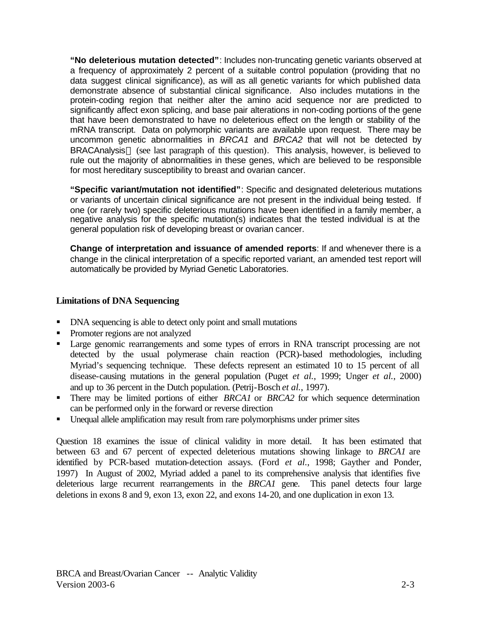**"No deleterious mutation detected"**: Includes non-truncating genetic variants observed at a frequency of approximately 2 percent of a suitable control population (providing that no data suggest clinical significance), as will as all genetic variants for which published data demonstrate absence of substantial clinical significance. Also includes mutations in the protein-coding region that neither alter the amino acid sequence nor are predicted to significantly affect exon splicing, and base pair alterations in non-coding portions of the gene that have been demonstrated to have no deleterious effect on the length or stability of the mRNA transcript. Data on polymorphic variants are available upon request. There may be uncommon genetic abnormalities in *BRCA1* and *BRCA2* that will not be detected by BRACAnalysis<sup>™</sup> (see last paragraph of this question). This analysis, however, is believed to rule out the majority of abnormalities in these genes, which are believed to be responsible for most hereditary susceptibility to breast and ovarian cancer.

**"Specific variant/mutation not identified"**: Specific and designated deleterious mutations or variants of uncertain clinical significance are not present in the individual being tested. If one (or rarely two) specific deleterious mutations have been identified in a family member, a negative analysis for the specific mutation(s) indicates that the tested individual is at the general population risk of developing breast or ovarian cancer.

**Change of interpretation and issuance of amended reports**: If and whenever there is a change in the clinical interpretation of a specific reported variant, an amended test report will automatically be provided by Myriad Genetic Laboratories.

# **Limitations of DNA Sequencing**

- DNA sequencing is able to detect only point and small mutations
- Promoter regions are not analyzed
- Large genomic rearrangements and some types of errors in RNA transcript processing are not detected by the usual polymerase chain reaction (PCR)-based methodologies, including Myriad's sequencing technique. These defects represent an estimated 10 to 15 percent of all disease-causing mutations in the general population (Puget *et al.*, 1999; Unger *et al.*, 2000) and up to 36 percent in the Dutch population. (Petrij-Bosch *et al.*, 1997).
- There may be limited portions of either *BRCA1* or *BRCA2* for which sequence determination can be performed only in the forward or reverse direction
- � Unequal allele amplification may result from rare polymorphisms under primer sites

Question 18 examines the issue of clinical validity in more detail. It has been estimated that between 63 and 67 percent of expected deleterious mutations showing linkage to *BRCA1* are identified by PCR-based mutation-detection assays. (Ford *et al.*, 1998; Gayther and Ponder, 1997) In August of 2002, Myriad added a panel to its comprehensive analysis that identifies five deleterious large recurrent rearrangements in the *BRCA1* gene. This panel detects four large deletions in exons 8 and 9, exon 13, exon 22, and exons 14-20, and one duplication in exon 13.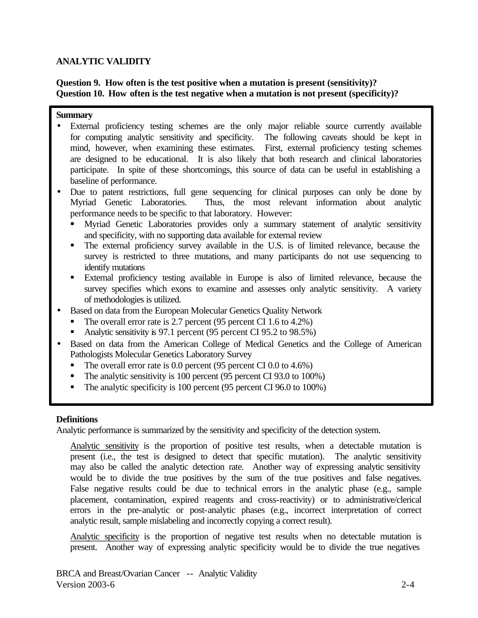# **Question 9. How often is the test positive when a mutation is present (sensitivity)? Question 10. How often is the test negative when a mutation is not present (specificity)?**

#### **Summary**

- External proficiency testing schemes are the only major reliable source currently available for computing analytic sensitivity and specificity. The following caveats should be kept in mind, however, when examining these estimates. First, external proficiency testing schemes are designed to be educational. It is also likely that both research and clinical laboratories participate. In spite of these shortcomings, this source of data can be useful in establishing a baseline of performance.
- Due to patent restrictions, full gene sequencing for clinical purposes can only be done by Myriad Genetic Laboratories. Thus, the most relevant information about analytic performance needs to be specific to that laboratory. However:
	- � Myriad Genetic Laboratories provides only a summary statement of analytic sensitivity and specificity, with no supporting data available for external review
	- � The external proficiency survey available in the U.S. is of limited relevance, because the survey is restricted to three mutations, and many participants do not use sequencing to identify mutations
	- External proficiency testing available in Europe is also of limited relevance, because the survey specifies which exons to examine and assesses only analytic sensitivity. A variety of methodologies is utilized.
- Based on data from the European Molecular Genetics Quality Network
	- The overall error rate is 2.7 percent (95 percent CI 1.6 to 4.2%)
	- Analytic sensitivity is 97.1 percent (95 percent CI 95.2 to 98.5%)
- Based on data from the American College of Medical Genetics and the College of American Pathologists Molecular Genetics Laboratory Survey
	- The overall error rate is 0.0 percent (95 percent CI 0.0 to 4.6%)
	- The analytic sensitivity is 100 percent (95 percent CI 93.0 to 100%)
	- $\blacksquare$  The analytic specificity is 100 percent (95 percent CI 96.0 to 100%)

## **Definitions**

Analytic performance is summarized by the sensitivity and specificity of the detection system.

Analytic sensitivity is the proportion of positive test results, when a detectable mutation is present (i.e., the test is designed to detect that specific mutation). The analytic sensitivity may also be called the analytic detection rate. Another way of expressing analytic sensitivity would be to divide the true positives by the sum of the true positives and false negatives. False negative results could be due to technical errors in the analytic phase (e.g., sample placement, contamination, expired reagents and cross-reactivity) or to administrative/clerical errors in the pre-analytic or post-analytic phases (e.g., incorrect interpretation of correct analytic result, sample mislabeling and incorrectly copying a correct result).

Analytic specificity is the proportion of negative test results when no detectable mutation is present. Another way of expressing analytic specificity would be to divide the true negatives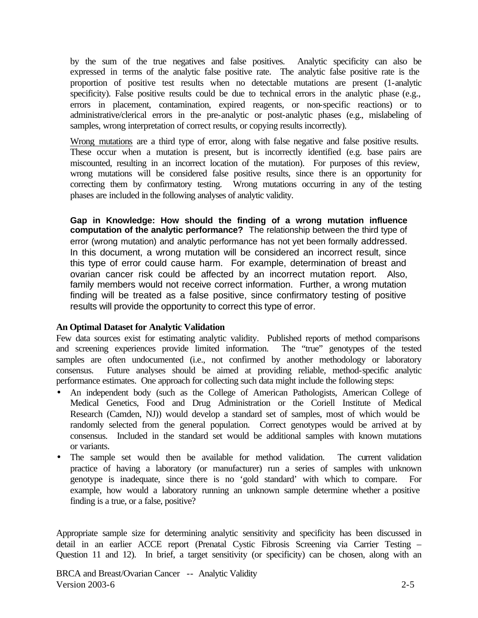by the sum of the true negatives and false positives. Analytic specificity can also be expressed in terms of the analytic false positive rate. The analytic false positive rate is the proportion of positive test results when no detectable mutations are present (1-analytic specificity). False positive results could be due to technical errors in the analytic phase (e.g., errors in placement, contamination, expired reagents, or non-specific reactions) or to administrative/clerical errors in the pre-analytic or post-analytic phases (e.g., mislabeling of samples, wrong interpretation of correct results, or copying results incorrectly).

Wrong mutations are a third type of error, along with false negative and false positive results. These occur when a mutation is present, but is incorrectly identified (e.g. base pairs are miscounted, resulting in an incorrect location of the mutation). For purposes of this review, wrong mutations will be considered false positive results, since there is an opportunity for correcting them by confirmatory testing. Wrong mutations occurring in any of the testing phases are included in the following analyses of analytic validity.

**Gap in Knowledge: How should the finding of a wrong mutation influence computation of the analytic performance?** The relationship between the third type of error (wrong mutation) and analytic performance has not yet been formally addressed. In this document, a wrong mutation will be considered an incorrect result, since this type of error could cause harm. For example, determination of breast and ovarian cancer risk could be affected by an incorrect mutation report. Also, family members would not receive correct information. Further, a wrong mutation finding will be treated as a false positive, since confirmatory testing of positive results will provide the opportunity to correct this type of error.

## **An Optimal Dataset for Analytic Validation**

Few data sources exist for estimating analytic validity. Published reports of method comparisons and screening experiences provide limited information. The "true" genotypes of the tested samples are often undocumented (i.e., not confirmed by another methodology or laboratory consensus. Future analyses should be aimed at providing reliable, method-specific analytic performance estimates. One approach for collecting such data might include the following steps:

- An independent body (such as the College of American Pathologists, American College of Medical Genetics, Food and Drug Administration or the Coriell Institute of Medical Research (Camden, NJ)) would develop a standard set of samples, most of which would be randomly selected from the general population. Correct genotypes would be arrived at by consensus. Included in the standard set would be additional samples with known mutations or variants.
- The sample set would then be available for method validation. The current validation practice of having a laboratory (or manufacturer) run a series of samples with unknown genotype is inadequate, since there is no 'gold standard' with which to compare. For example, how would a laboratory running an unknown sample determine whether a positive finding is a true, or a false, positive?

Appropriate sample size for determining analytic sensitivity and specificity has been discussed in detail in an earlier ACCE report (Prenatal Cystic Fibrosis Screening via Carrier Testing – Question 11 and 12). In brief, a target sensitivity (or specificity) can be chosen, along with an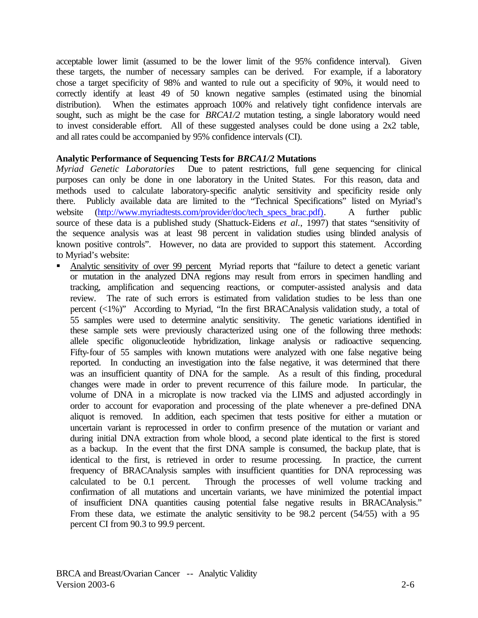acceptable lower limit (assumed to be the lower limit of the 95% confidence interval). Given these targets, the number of necessary samples can be derived. For example, if a laboratory chose a target specificity of 98% and wanted to rule out a specificity of 90%, it would need to correctly identify at least 49 of 50 known negative samples (estimated using the binomial distribution). When the estimates approach 100% and relatively tight confidence intervals are sought, such as might be the case for *BRCA1/2* mutation testing, a single laboratory would need to invest considerable effort. All of these suggested analyses could be done using a 2x2 table, and all rates could be accompanied by 95% confidence intervals (CI).

## **Analytic Performance of Sequencing Tests for** *BRCA1/2* **Mutations**

*Myriad Genetic Laboratories* Due to patent restrictions, full gene sequencing for clinical purposes can only be done in one laboratory in the United States. For this reason, data and methods used to calculate laboratory-specific analytic sensitivity and specificity reside only there. Publicly available data are limited to the "Technical Specifications" listed on Myriad's website (http://www.myriadtests.com/provider/doc/tech\_specs\_brac.pdf). A further public source of these data is a published study (Shattuck-Eidens *et al.*, 1997) that states "sensitivity of the sequence analysis was at least 98 percent in validation studies using blinded analysis of known positive controls". However, no data are provided to support this statement. According to Myriad's website:

� Analytic sensitivity of over 99 percent Myriad reports that "failure to detect a genetic variant or mutation in the analyzed DNA regions may result from errors in specimen handling and tracking, amplification and sequencing reactions, or computer-assisted analysis and data review. The rate of such errors is estimated from validation studies to be less than one percent (<1%)" According to Myriad, "In the first BRACAnalysis validation study, a total of 55 samples were used to determine analytic sensitivity. The genetic variations identified in these sample sets were previously characterized using one of the following three methods: allele specific oligonucleotide hybridization, linkage analysis or radioactive sequencing. Fifty-four of 55 samples with known mutations were analyzed with one false negative being reported. In conducting an investigation into the false negative, it was determined that there was an insufficient quantity of DNA for the sample. As a result of this finding, procedural changes were made in order to prevent recurrence of this failure mode. In particular, the volume of DNA in a microplate is now tracked via the LIMS and adjusted accordingly in order to account for evaporation and processing of the plate whenever a pre-defined DNA aliquot is removed. In addition, each specimen that tests positive for either a mutation or uncertain variant is reprocessed in order to confirm presence of the mutation or variant and during initial DNA extraction from whole blood, a second plate identical to the first is stored as a backup. In the event that the first DNA sample is consumed, the backup plate, that is identical to the first, is retrieved in order to resume processing. In practice, the current frequency of BRACAnalysis samples with insufficient quantities for DNA reprocessing was calculated to be 0.1 percent. Through the processes of well volume tracking and confirmation of all mutations and uncertain variants, we have minimized the potential impact of insufficient DNA quantities causing potential false negative results in BRACAnalysis." From these data, we estimate the analytic sensitivity to be 98.2 percent (54/55) with a 95 percent CI from 90.3 to 99.9 percent.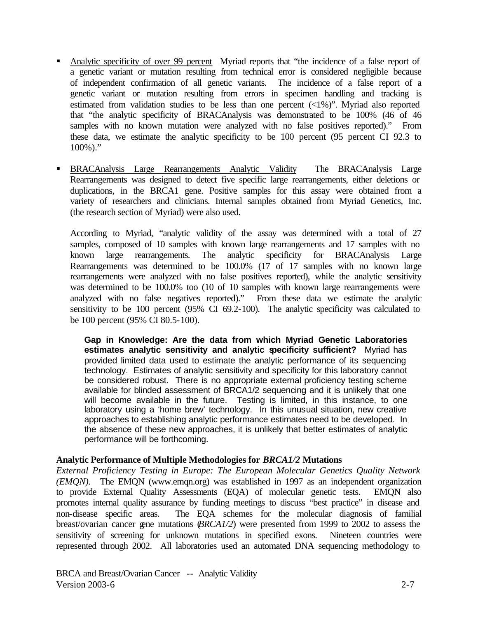- � Analytic specificity of over 99 percent Myriad reports that "the incidence of a false report of a genetic variant or mutation resulting from technical error is considered negligible because of independent confirmation of all genetic variants. The incidence of a false report of a genetic variant or mutation resulting from errors in specimen handling and tracking is estimated from validation studies to be less than one percent  $\left(\langle 1\% \rangle\right)$ . Myriad also reported that "the analytic specificity of BRACAnalysis was demonstrated to be 100% (46 of 46 samples with no known mutation were analyzed with no false positives reported)." From these data, we estimate the analytic specificity to be 100 percent (95 percent CI 92.3 to  $100\%$ )."
- � BRACAnalysis Large Rearrangements Analytic Validity The BRACAnalysis Large Rearrangements was designed to detect five specific large rearrangements, either deletions or duplications, in the BRCA1 gene. Positive samples for this assay were obtained from a variety of researchers and clinicians. Internal samples obtained from Myriad Genetics, Inc. (the research section of Myriad) were also used.

According to Myriad, "analytic validity of the assay was determined with a total of 27 samples, composed of 10 samples with known large rearrangements and 17 samples with no known large rearrangements. The analytic specificity for BRACAnalysis Large Rearrangements was determined to be 100.0% (17 of 17 samples with no known large rearrangements were analyzed with no false positives reported), while the analytic sensitivity was determined to be 100.0% too (10 of 10 samples with known large rearrangements were analyzed with no false negatives reported)." From these data we estimate the analytic sensitivity to be 100 percent (95% CI 69.2-100). The analytic specificity was calculated to be 100 percent (95% CI 80.5-100).

**Gap in Knowledge: Are the data from which Myriad Genetic Laboratories estimates analytic sensitivity and analytic specificity sufficient?** Myriad has provided limited data used to estimate the analytic performance of its sequencing technology. Estimates of analytic sensitivity and specificity for this laboratory cannot be considered robust. There is no appropriate external proficiency testing scheme available for blinded assessment of BRCA1/2 sequencing and it is unlikely that one will become available in the future. Testing is limited, in this instance, to one laboratory using a 'home brew' technology. In this unusual situation, new creative approaches to establishing analytic performance estimates need to be developed. In the absence of these new approaches, it is unlikely that better estimates of analytic performance will be forthcoming.

## **Analytic Performance of Multiple Methodologies for** *BRCA1/2* **Mutations**

*External Proficiency Testing in Europe: The European Molecular Genetics Quality Network (EMQN).* The EMQN (www.emqn.org) was established in 1997 as an independent organization to provide External Quality Assessments (EQA) of molecular genetic tests. EMQN also promotes internal quality assurance by funding meetings to discuss "best practice" in disease and non-disease specific areas. The EQA schemes for the molecular diagnosis of familial breast/ovarian cancer gene mutations (*BRCA1/2*) were presented from 1999 to 2002 to assess the sensitivity of screening for unknown mutations in specified exons. Nineteen countries were represented through 2002. All laboratories used an automated DNA sequencing methodology to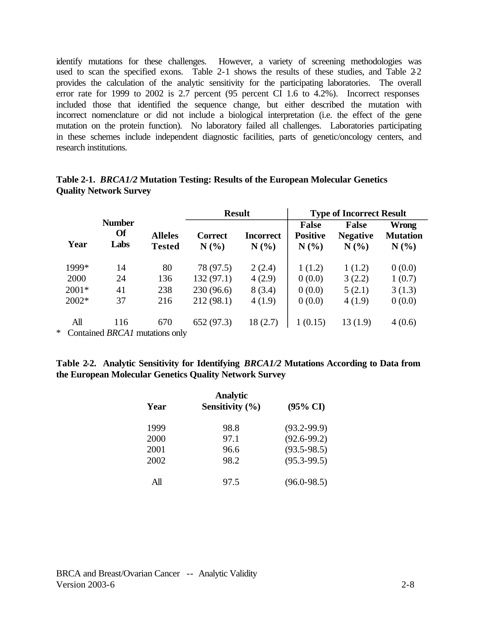identify mutations for these challenges. However, a variety of screening methodologies was used to scan the specified exons. Table 2-1 shows the results of these studies, and Table 2-2 provides the calculation of the analytic sensitivity for the participating laboratories. The overall error rate for 1999 to 2002 is 2.7 percent (95 percent CI 1.6 to 4.2%). Incorrect responses included those that identified the sequence change, but either described the mutation with incorrect nomenclature or did not include a biological interpretation (i.e. the effect of the gene mutation on the protein function). No laboratory failed all challenges. Laboratories participating in these schemes include independent diagnostic facilities, parts of genetic/oncology centers, and research institutions.

|         |                                          |                                 | <b>Result</b>          |                         | <b>Type of Incorrect Result</b>        |                                         |                                  |  |
|---------|------------------------------------------|---------------------------------|------------------------|-------------------------|----------------------------------------|-----------------------------------------|----------------------------------|--|
| Year    | <b>Number</b><br><b>Of</b><br>Labs       | <b>Alleles</b><br><b>Tested</b> | <b>Correct</b><br>N(%) | <b>Incorrect</b><br>N(% | <b>False</b><br><b>Positive</b><br>N(% | <b>False</b><br><b>Negative</b><br>N(%) | Wrong<br><b>Mutation</b><br>N(%) |  |
| 1999*   | 14                                       | 80                              | 78 (97.5)              | 2(2.4)                  | 1(1.2)                                 | 1(1.2)                                  | 0(0.0)                           |  |
| 2000    | 24                                       | 136                             | 132(97.1)              | 4(2.9)                  | 0(0.0)                                 | 3(2.2)                                  | 1(0.7)                           |  |
| $2001*$ | 41                                       | 238                             | 230(96.6)              | 8(3.4)                  | 0(0.0)                                 | 5(2.1)                                  | 3(1.3)                           |  |
| $2002*$ | 37                                       | 216                             | 212(98.1)              | 4(1.9)                  | 0(0.0)                                 | 4(1.9)                                  | 0(0.0)                           |  |
| All     | 116                                      | 670                             | 652 (97.3)             | 18(2.7)                 | 1(0.15)                                | 13(1.9)                                 | 4(0.6)                           |  |
|         | $\kappa$ Contained RRCA L mutations only |                                 |                        |                         |                                        |                                         |                                  |  |

| Table 2-1. <i>BRCA1/2</i> Mutation Testing: Results of the European Molecular Genetics |  |  |  |
|----------------------------------------------------------------------------------------|--|--|--|
| <b>Quality Network Survey</b>                                                          |  |  |  |

\* Contained *BRCA1* mutations only

## **Table 2-2. Analytic Sensitivity for Identifying** *BRCA1/2* **Mutations According to Data from the European Molecular Genetics Quality Network Survey**

| Year | <b>Analytic</b><br>Sensitivity $(\% )$ | $(95\% \text{ CI})$ |
|------|----------------------------------------|---------------------|
| 1999 | 98.8                                   | $(93.2 - 99.9)$     |
| 2000 | 97.1                                   | $(92.6 - 99.2)$     |
| 2001 | 96.6                                   | $(93.5 - 98.5)$     |
| 2002 | 98.2                                   | $(95.3 - 99.5)$     |
| All  | 97.5                                   | $(96.0 - 98.5)$     |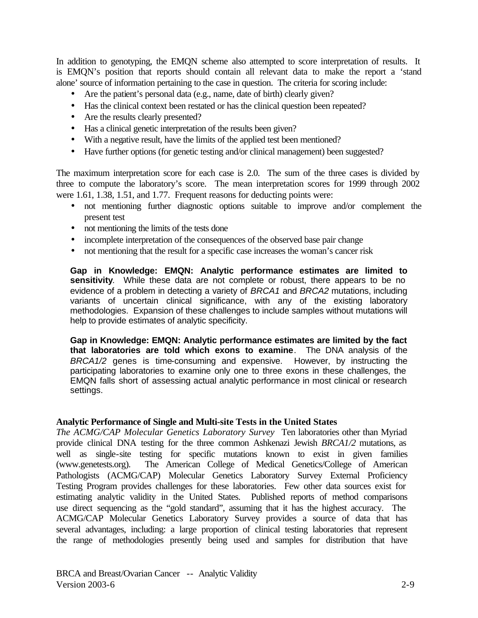In addition to genotyping, the EMQN scheme also attempted to score interpretation of results. It is EMQN's position that reports should contain all relevant data to make the report a 'stand alone' source of information pertaining to the case in question. The criteria for scoring include:

- Are the patient's personal data (e.g., name, date of birth) clearly given?
- Has the clinical context been restated or has the clinical question been repeated?
- Are the results clearly presented?
- Has a clinical genetic interpretation of the results been given?
- With a negative result, have the limits of the applied test been mentioned?
- Have further options (for genetic testing and/or clinical management) been suggested?

The maximum interpretation score for each case is 2.0. The sum of the three cases is divided by three to compute the laboratory's score. The mean interpretation scores for 1999 through 2002 were 1.61, 1.38, 1.51, and 1.77. Frequent reasons for deducting points were:

- not mentioning further diagnostic options suitable to improve and/or complement the present test
- not mentioning the limits of the tests done
- incomplete interpretation of the consequences of the observed base pair change
- not mentioning that the result for a specific case increases the woman's cancer risk

**Gap in Knowledge: EMQN: Analytic performance estimates are limited to**  sensitivity. While these data are not complete or robust, there appears to be no evidence of a problem in detecting a variety of *BRCA1* and *BRCA2* mutations, including variants of uncertain clinical significance, with any of the existing laboratory methodologies. Expansion of these challenges to include samples without mutations will help to provide estimates of analytic specificity.

**Gap in Knowledge: EMQN: Analytic performance estimates are limited by the fact that laboratories are told which exons to examine**. The DNA analysis of the *BRCA1/2* genes is time-consuming and expensive. However, by instructing the participating laboratories to examine only one to three exons in these challenges, the EMQN falls short of assessing actual analytic performance in most clinical or research settings.

## **Analytic Performance of Single and Multi-site Tests in the United States**

*The ACMG/CAP Molecular Genetics Laboratory Survey* Ten laboratories other than Myriad provide clinical DNA testing for the three common Ashkenazi Jewish *BRCA1/2* mutations, as well as single-site testing for specific mutations known to exist in given families (www.genetests.org). The American College of Medical Genetics/College of American Pathologists (ACMG/CAP) Molecular Genetics Laboratory Survey External Proficiency Testing Program provides challenges for these laboratories. Few other data sources exist for estimating analytic validity in the United States. Published reports of method comparisons use direct sequencing as the "gold standard", assuming that it has the highest accuracy. The ACMG/CAP Molecular Genetics Laboratory Survey provides a source of data that has several advantages, including: a large proportion of clinical testing laboratories that represent the range of methodologies presently being used and samples for distribution that have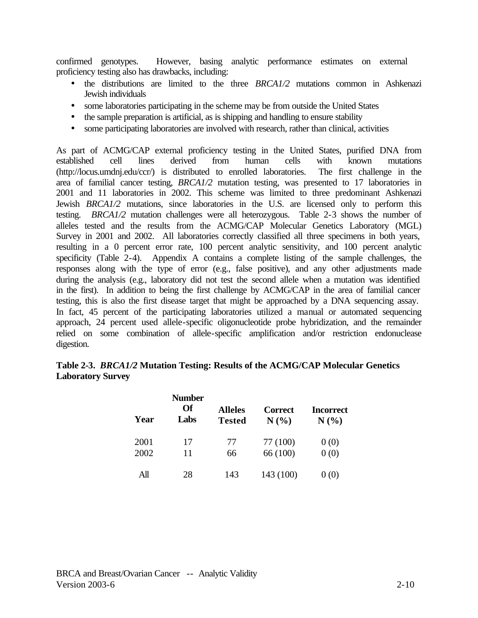confirmed genotypes. However, basing analytic performance estimates on external proficiency testing also has drawbacks, including:

- the distributions are limited to the three *BRCA1/2* mutations common in Ashkenazi Jewish individuals
- some laboratories participating in the scheme may be from outside the United States
- the sample preparation is artificial, as is shipping and handling to ensure stability
- some participating laboratories are involved with research, rather than clinical, activities

As part of ACMG/CAP external proficiency testing in the United States, purified DNA from established cell lines derived from human cells with known mutations (http://locus.umdnj.edu/ccr/) is distributed to enrolled laboratories. The first challenge in the area of familial cancer testing, *BRCA1/2* mutation testing, was presented to 17 laboratories in 2001 and 11 laboratories in 2002. This scheme was limited to three predominant Ashkenazi Jewish *BRCA1/2* mutations, since laboratories in the U.S. are licensed only to perform this testing. *BRCA1/2* mutation challenges were all heterozygous. Table 2-3 shows the number of alleles tested and the results from the ACMG/CAP Molecular Genetics Laboratory (MGL) Survey in 2001 and 2002. All laboratories correctly classified all three specimens in both years, resulting in a 0 percent error rate, 100 percent analytic sensitivity, and 100 percent analytic specificity (Table 2-4). Appendix A contains a complete listing of the sample challenges, the responses along with the type of error (e.g., false positive), and any other adjustments made during the analysis (e.g., laboratory did not test the second allele when a mutation was identified in the first). In addition to being the first challenge by ACMG/CAP in the area of familial cancer testing, this is also the first disease target that might be approached by a DNA sequencing assay. In fact, 45 percent of the participating laboratories utilized a manual or automated sequencing approach, 24 percent used allele-specific oligonucleotide probe hybridization, and the remainder relied on some combination of allele-specific amplification and/or restriction endonuclease digestion.

# **Table 2-3.** *BRCA1/2* **Mutation Testing: Results of the ACMG/CAP Molecular Genetics Laboratory Survey**

| Year | <b>Number</b><br>Of<br>Labs | <b>Alleles</b><br><b>Tested</b> | <b>Correct</b><br>N(%) | <b>Incorrect</b><br>N(% |
|------|-----------------------------|---------------------------------|------------------------|-------------------------|
| 2001 | 17                          | 77                              | 77 (100)               | 0(0)                    |
| 2002 | 11                          | 66                              | 66 (100)               | 0(0)                    |
| All  | 28                          | 143                             | 143 (100)              |                         |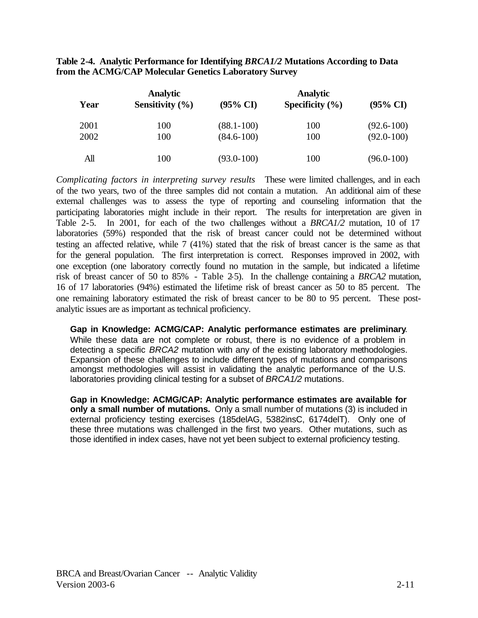|      | <b>Analytic</b>     |                     | <b>Analytic</b>     |                     |  |  |  |
|------|---------------------|---------------------|---------------------|---------------------|--|--|--|
| Year | Sensitivity $(\% )$ | $(95\% \text{ CI})$ | Specificity $(\% )$ | $(95\% \text{ CI})$ |  |  |  |
| 2001 | 100                 | $(88.1 - 100)$      | 100                 | $(92.6 - 100)$      |  |  |  |
| 2002 | 100                 | $(84.6 - 100)$      | 100                 | $(92.0 - 100)$      |  |  |  |
| All  | 100                 | $(93.0 - 100)$      | 100                 | $(96.0 - 100)$      |  |  |  |

**Table 2-4. Analytic Performance for Identifying** *BRCA1/2* **Mutations According to Data from the ACMG/CAP Molecular Genetics Laboratory Survey** 

*Complicating factors in interpreting survey results* These were limited challenges, and in each of the two years, two of the three samples did not contain a mutation. An additional aim of these external challenges was to assess the type of reporting and counseling information that the participating laboratories might include in their report. The results for interpretation are given in Table 2-5. In 2001, for each of the two challenges without a *BRCA1/2* mutation, 10 of 17 laboratories (59%) responded that the risk of breast cancer could not be determined without testing an affected relative, while 7 (41%) stated that the risk of breast cancer is the same as that for the general population. The first interpretation is correct. Responses improved in 2002, with one exception (one laboratory correctly found no mutation in the sample, but indicated a lifetime risk of breast cancer of 50 to 85% - Table 2-5). In the challenge containing a *BRCA2* mutation, 16 of 17 laboratories (94%) estimated the lifetime risk of breast cancer as 50 to 85 percent. The one remaining laboratory estimated the risk of breast cancer to be 80 to 95 percent. These postanalytic issues are as important as technical proficiency.

**Gap in Knowledge: ACMG/CAP: Analytic performance estimates are preliminary**. While these data are not complete or robust, there is no evidence of a problem in detecting a specific *BRCA2* mutation with any of the existing laboratory methodologies. Expansion of these challenges to include different types of mutations and comparisons amongst methodologies will assist in validating the analytic performance of the U.S. laboratories providing clinical testing for a subset of *BRCA1/2* mutations.

**Gap in Knowledge: ACMG/CAP: Analytic performance estimates are available for only a small number of mutations.** Only a small number of mutations (3) is included in external proficiency testing exercises (185delAG, 5382insC, 6174delT). Only one of these three mutations was challenged in the first two years. Other mutations, such as those identified in index cases, have not yet been subject to external proficiency testing.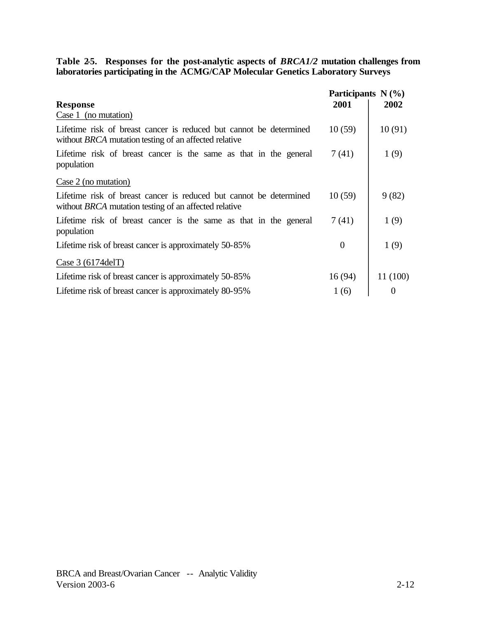#### **Table 2-5. Responses for the post-analytic aspects of** *BRCA1/2* **mutation challenges from laboratories participating in the ACMG/CAP Molecular Genetics Laboratory Surveys**

|                                                                                                                                    | Participants $N(\%)$ |          |  |
|------------------------------------------------------------------------------------------------------------------------------------|----------------------|----------|--|
| <b>Response</b>                                                                                                                    | 2001                 | 2002     |  |
| Case 1 (no mutation)                                                                                                               |                      |          |  |
| Lifetime risk of breast cancer is reduced but cannot be determined<br>without <i>BRCA</i> mutation testing of an affected relative | 10(59)               | 10(91)   |  |
| Lifetime risk of breast cancer is the same as that in the general<br>population                                                    | 7(41)                | 1(9)     |  |
| Case 2 (no mutation)                                                                                                               |                      |          |  |
| Lifetime risk of breast cancer is reduced but cannot be determined<br>without <i>BRCA</i> mutation testing of an affected relative | 10(59)               | 9(82)    |  |
| Lifetime risk of breast cancer is the same as that in the general<br>population                                                    | 7(41)                | 1(9)     |  |
| Lifetime risk of breast cancer is approximately 50-85%                                                                             | $\theta$             | 1(9)     |  |
| Case $3(6174$ delT)                                                                                                                |                      |          |  |
| Lifetime risk of breast cancer is approximately 50-85%                                                                             | 16(94)               | 11 (100) |  |
| Lifetime risk of breast cancer is approximately 80-95%                                                                             | 1(6)                 | 0        |  |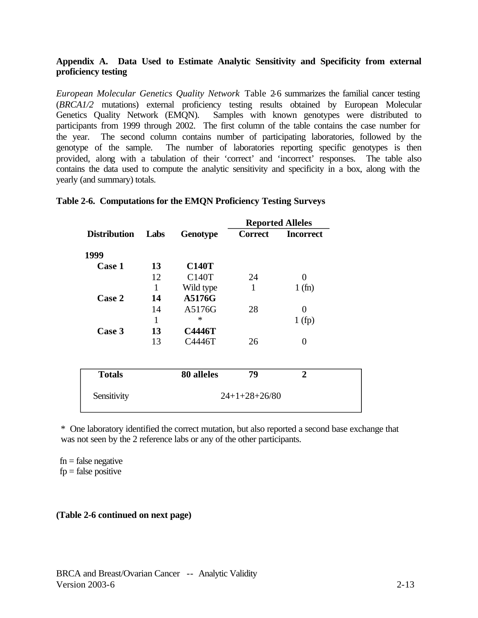# **Appendix A. Data Used to Estimate Analytic Sensitivity and Specificity from external proficiency testing**

*European Molecular Genetics Quality Network* Table 2-6 summarizes the familial cancer testing (*BRCA1/2* mutations) external proficiency testing results obtained by European Molecular Genetics Quality Network (EMQN). Samples with known genotypes were distributed to participants from 1999 through 2002. The first column of the table contains the case number for the year. The second column contains number of participating laboratories, followed by the genotype of the sample. The number of laboratories reporting specific genotypes is then provided, along with a tabulation of their 'correct' and 'incorrect' responses. The table also contains the data used to compute the analytic sensitivity and specificity in a box, along with the yearly (and summary) totals.

|                     |      |                    | <b>Reported Alleles</b> |                  |  |
|---------------------|------|--------------------|-------------------------|------------------|--|
| <b>Distribution</b> | Labs | <b>Genotype</b>    | <b>Correct</b>          | <b>Incorrect</b> |  |
| 1999                |      |                    |                         |                  |  |
| <b>Case 1</b>       | 13   | <b>C140T</b>       |                         |                  |  |
|                     | 12   | C <sub>140</sub> T | 24                      | 0                |  |
|                     | 1    | Wild type          | 1                       | 1(fn)            |  |
| Case 2              | 14   | A5176G             |                         |                  |  |
|                     | 14   | A5176G             | 28                      | 0                |  |
|                     | 1    | $\ast$             |                         | 1(fp)            |  |
| Case 3              | 13   | <b>C4446T</b>      |                         |                  |  |
|                     | 13   | C4446T             | 26                      | 0                |  |
| <b>Totals</b>       |      | 80 alleles         | 79                      | $\mathbf{2}$     |  |

#### **Table 2-6. Computations for the EMQN Proficiency Testing Surveys**

\* One laboratory identified the correct mutation, but also reported a second base exchange that was not seen by the 2 reference labs or any of the other participants.

 $fn = false$  negative  $fp = false$  positive

# **(Table 2-6 continued on next page)**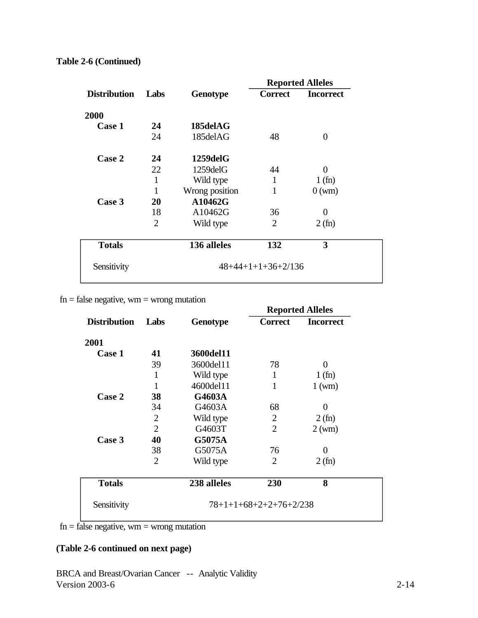|                     |                |                 |                      | <b>Reported Alleles</b> |
|---------------------|----------------|-----------------|----------------------|-------------------------|
| <b>Distribution</b> | Labs           | <b>Genotype</b> | Correct              | <b>Incorrect</b>        |
| 2000                |                |                 |                      |                         |
| Case 1              | 24             | 185delAG        |                      |                         |
|                     | 24             | 185delAG        | 48                   | $\theta$                |
| Case 2              | 24             | $1259$ del $G$  |                      |                         |
|                     | 22             | $1259$ del $G$  | 44                   | $\Omega$                |
|                     | 1              | Wild type       | 1                    | 1(fn)                   |
|                     | 1              | Wrong position  | 1                    | $0 \text{ (wm)}$        |
| Case 3              | 20             | A10462G         |                      |                         |
|                     | 18             | A10462G         | 36                   | 0                       |
|                     | $\overline{2}$ | Wild type       | $\overline{2}$       | 2(fn)                   |
| <b>Totals</b>       |                | 136 alleles     | 132                  | 3                       |
| Sensitivity         |                |                 | $48+44+1+1+36+2/136$ |                         |
|                     |                |                 |                      |                         |

# **Table 2-6 (Continued)**

 $fn = false$  negative, wm = wrong mutation

|                     |                |                 | <b>Reported Alleles</b> |                  |  |
|---------------------|----------------|-----------------|-------------------------|------------------|--|
| <b>Distribution</b> | Labs           | <b>Genotype</b> | <b>Correct</b>          | <b>Incorrect</b> |  |
| 2001                |                |                 |                         |                  |  |
| Case 1              | 41             | 3600del11       |                         |                  |  |
|                     | 39             | 3600del11       | 78                      | $\Omega$         |  |
|                     | 1              | Wild type       | 1                       | 1(fn)            |  |
|                     | 1              | 4600del11       | $\mathbf{1}$            | $1 \text{ (wm)}$ |  |
| Case 2              | 38             | G4603A          |                         |                  |  |
|                     | 34             | G4603A          | 68                      | 0                |  |
|                     | $\overline{2}$ | Wild type       | 2                       | 2(fn)            |  |
|                     | $\overline{2}$ | G4603T          | $\overline{2}$          | $2 \text{ (wm)}$ |  |
| Case 3              | 40             | <b>G5075A</b>   |                         |                  |  |
|                     | 38             | G5075A          | 76                      | 0                |  |
|                     | $\overline{2}$ | Wild type       | $\overline{2}$          | 2(fn)            |  |
| <b>Totals</b>       |                | 238 alleles     | 230                     | 8                |  |

 $fn = false$  negative, wm = wrong mutation

# **(Table 2-6 continued on next page)**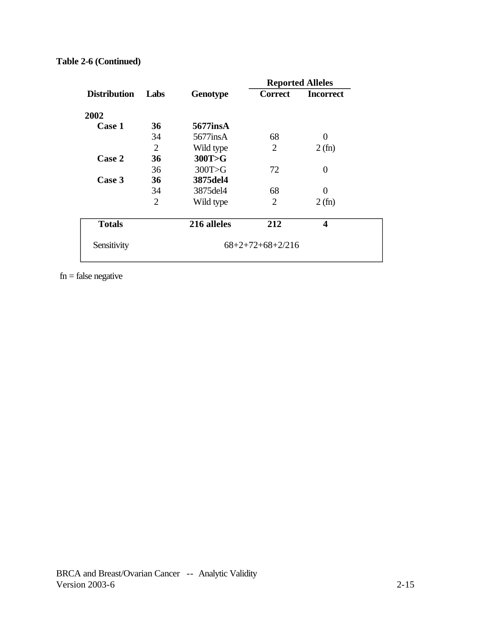|                |                 |                | <b>Reported Alleles</b> |  |  |
|----------------|-----------------|----------------|-------------------------|--|--|
| Labs           | <b>Genotype</b> | <b>Correct</b> | <b>Incorrect</b>        |  |  |
|                |                 |                |                         |  |  |
| 36             | 5677insA        |                |                         |  |  |
| 34             | 5677insA        | 68             | 0                       |  |  |
| $\overline{2}$ | Wild type       | $\overline{2}$ | 2(fn)                   |  |  |
| 36             | 300T>G          |                |                         |  |  |
| 36             | 300T>G          | 72             | $\theta$                |  |  |
| 36             | 3875del4        |                |                         |  |  |
| 34             | 3875del4        | 68             | 0                       |  |  |
| $\overline{2}$ | Wild type       | $\overline{2}$ | 2(fn)                   |  |  |
|                | 216 alleles     | 212            | $\overline{\mathbf{4}}$ |  |  |
|                |                 |                |                         |  |  |
|                |                 |                | $68+2+72+68+2/216$      |  |  |

# **Table 2-6 (Continued)**

 $fn = false$  negative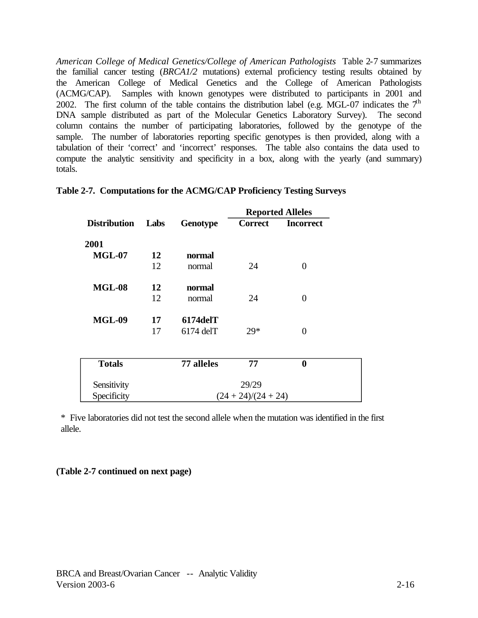*American College of Medical Genetics/College of American Pathologists* Table 2-7 summarizes the familial cancer testing (*BRCA1/2* mutations) external proficiency testing results obtained by the American College of Medical Genetics and the College of American Pathologists (ACMG/CAP). Samples with known genotypes were distributed to participants in 2001 and 2002. The first column of the table contains the distribution label (e.g. MGL-07 indicates the  $7<sup>th</sup>$ DNA sample distributed as part of the Molecular Genetics Laboratory Survey). The second column contains the number of participating laboratories, followed by the genotype of the sample. The number of laboratories reporting specific genotypes is then provided, along with a tabulation of their 'correct' and 'incorrect' responses. The table also contains the data used to compute the analytic sensitivity and specificity in a box, along with the yearly (and summary) totals.

|                     |      |                 | <b>Reported Alleles</b> |                  |  |
|---------------------|------|-----------------|-------------------------|------------------|--|
| <b>Distribution</b> | Labs | <b>Genotype</b> | <b>Correct</b>          | <b>Incorrect</b> |  |
| 2001                |      |                 |                         |                  |  |
| <b>MGL-07</b>       | 12   | normal          |                         |                  |  |
|                     | 12   | normal          | 24                      | 0                |  |
| <b>MGL-08</b>       | 12   | normal          |                         |                  |  |
|                     | 12   | normal          | 24                      | 0                |  |
| <b>MGL-09</b>       | 17   | $6174$ del $T$  |                         |                  |  |
|                     | 17   | $6174$ delT     | $29*$                   | $\theta$         |  |
|                     |      |                 |                         |                  |  |
| <b>Totals</b>       |      | 77 alleles      | 77                      | $\bf{0}$         |  |
| Sensitivity         |      |                 | 29/29                   |                  |  |
| Specificity         |      |                 | $(24 + 24)/(24 + 24)$   |                  |  |

|  | Table 2-7. Computations for the ACMG/CAP Proficiency Testing Surveys |  |  |  |  |  |
|--|----------------------------------------------------------------------|--|--|--|--|--|
|--|----------------------------------------------------------------------|--|--|--|--|--|

\* Five laboratories did not test the second allele when the mutation was identified in the first allele.

## **(Table 2-7 continued on next page)**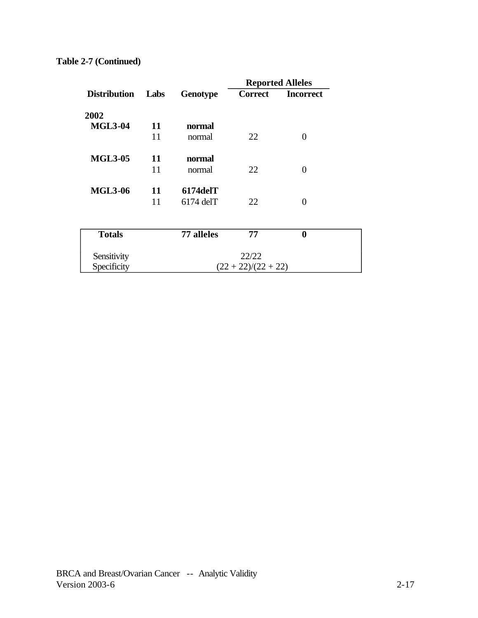|                     |      |                       |                | <b>Reported Alleles</b> |
|---------------------|------|-----------------------|----------------|-------------------------|
| <b>Distribution</b> | Labs | <b>Genotype</b>       | <b>Correct</b> | <b>Incorrect</b>        |
| 2002                |      |                       |                |                         |
| <b>MGL3-04</b>      | 11   | normal                |                |                         |
|                     | 11   | normal                | 22             | 0                       |
| <b>MGL3-05</b>      | 11   | normal                |                |                         |
|                     | 11   | normal                | 22             | $\Omega$                |
| <b>MGL3-06</b>      | 11   | $6174$ del $T$        |                |                         |
|                     | 11   | $6174$ delT           | 22             | $\Omega$                |
|                     |      |                       |                |                         |
| <b>Totals</b>       |      | 77 alleles            | 77             | 0                       |
| Sensitivity         |      | 22/22                 |                |                         |
| Specificity         |      | $(22 + 22)/(22 + 22)$ |                |                         |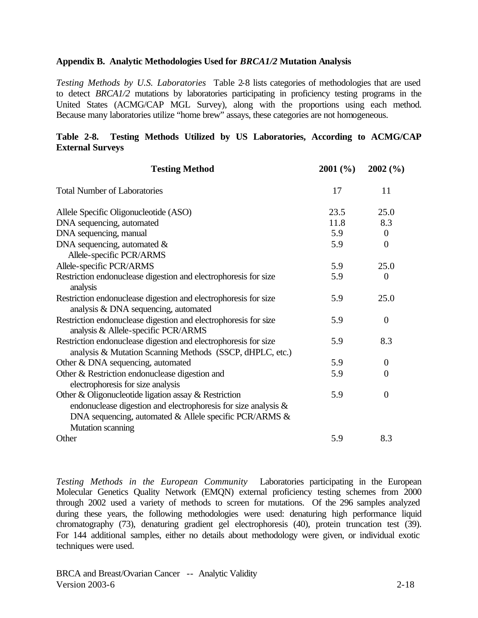#### **Appendix B. Analytic Methodologies Used for** *BRCA1/2* **Mutation Analysis**

*Testing Methods by U.S. Laboratories* Table 2-8 lists categories of methodologies that are used to detect *BRCA1/2* mutations by laboratories participating in proficiency testing programs in the United States (ACMG/CAP MGL Survey), along with the proportions using each method. Because many laboratories utilize "home brew" assays, these categories are not homogeneous.

# **Table 2-8. Testing Methods Utilized by US Laboratories, According to ACMG/CAP External Surveys**

| 17<br>11<br>25.0<br>23.5<br>11.8<br>8.3<br>5.9<br>$\theta$<br>5.9<br>$\boldsymbol{0}$<br>Allele-specific PCR/ARMS<br>5.9<br>25.0<br>$\theta$<br>5.9<br>analysis<br>25.0<br>5.9<br>analysis & DNA sequencing, automated<br>5.9<br>$\boldsymbol{0}$<br>analysis & Allele-specific PCR/ARMS<br>5.9<br>8.3<br>analysis & Mutation Scanning Methods (SSCP, dHPLC, etc.)<br>5.9<br>Other & DNA sequencing, automated<br>$\boldsymbol{0}$<br>5.9<br>$\mathbf{0}$<br>electrophoresis for size analysis<br>5.9<br>$\mathbf{0}$<br>endonuclease digestion and electrophoresis for size analysis &<br>DNA sequencing, automated $\&$ Allele specific PCR/ARMS $\&$<br>Mutation scanning | <b>Testing Method</b>                                           | 2001(%) | 2002(%) |
|------------------------------------------------------------------------------------------------------------------------------------------------------------------------------------------------------------------------------------------------------------------------------------------------------------------------------------------------------------------------------------------------------------------------------------------------------------------------------------------------------------------------------------------------------------------------------------------------------------------------------------------------------------------------------|-----------------------------------------------------------------|---------|---------|
|                                                                                                                                                                                                                                                                                                                                                                                                                                                                                                                                                                                                                                                                              | <b>Total Number of Laboratories</b>                             |         |         |
|                                                                                                                                                                                                                                                                                                                                                                                                                                                                                                                                                                                                                                                                              | Allele Specific Oligonucleotide (ASO)                           |         |         |
|                                                                                                                                                                                                                                                                                                                                                                                                                                                                                                                                                                                                                                                                              | DNA sequencing, automated                                       |         |         |
|                                                                                                                                                                                                                                                                                                                                                                                                                                                                                                                                                                                                                                                                              | DNA sequencing, manual                                          |         |         |
|                                                                                                                                                                                                                                                                                                                                                                                                                                                                                                                                                                                                                                                                              | DNA sequencing, automated $\&$                                  |         |         |
|                                                                                                                                                                                                                                                                                                                                                                                                                                                                                                                                                                                                                                                                              | Allele-specific PCR/ARMS                                        |         |         |
|                                                                                                                                                                                                                                                                                                                                                                                                                                                                                                                                                                                                                                                                              | Restriction endonuclease digestion and electrophoresis for size |         |         |
|                                                                                                                                                                                                                                                                                                                                                                                                                                                                                                                                                                                                                                                                              | Restriction endonuclease digestion and electrophoresis for size |         |         |
|                                                                                                                                                                                                                                                                                                                                                                                                                                                                                                                                                                                                                                                                              | Restriction endonuclease digestion and electrophoresis for size |         |         |
|                                                                                                                                                                                                                                                                                                                                                                                                                                                                                                                                                                                                                                                                              | Restriction endonuclease digestion and electrophoresis for size |         |         |
|                                                                                                                                                                                                                                                                                                                                                                                                                                                                                                                                                                                                                                                                              |                                                                 |         |         |
|                                                                                                                                                                                                                                                                                                                                                                                                                                                                                                                                                                                                                                                                              | Other & Restriction endonuclease digestion and                  |         |         |
|                                                                                                                                                                                                                                                                                                                                                                                                                                                                                                                                                                                                                                                                              | Other & Oligonucleotide ligation assay & Restriction            |         |         |
|                                                                                                                                                                                                                                                                                                                                                                                                                                                                                                                                                                                                                                                                              | Other                                                           | 5.9     | 8.3     |

*Testing Methods in the European Community* Laboratories participating in the European Molecular Genetics Quality Network (EMQN) external proficiency testing schemes from 2000 through 2002 used a variety of methods to screen for mutations. Of the 296 samples analyzed during these years, the following methodologies were used: denaturing high performance liquid chromatography (73), denaturing gradient gel electrophoresis (40), protein truncation test (39). For 144 additional samples, either no details about methodology were given, or individual exotic techniques were used.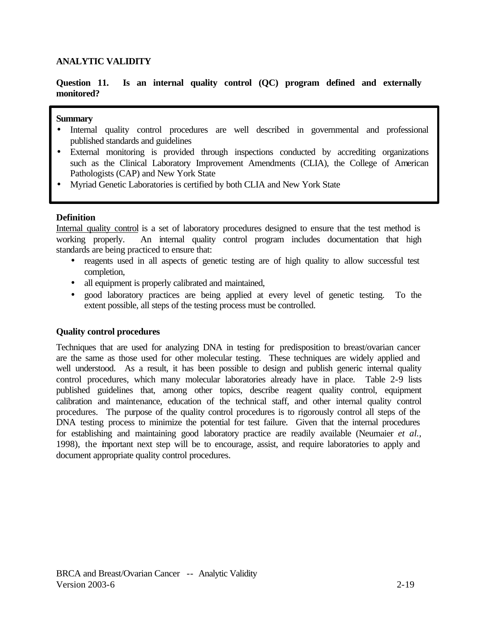# **Question 11. Is an internal quality control (QC) program defined and externally monitored?**

#### **Summary**

- Internal quality control procedures are well described in governmental and professional published standards and guidelines
- External monitoring is provided through inspections conducted by accrediting organizations such as the Clinical Laboratory Improvement Amendments (CLIA), the College of American Pathologists (CAP) and New York State
- Myriad Genetic Laboratories is certified by both CLIA and New York State

## **Definition**

Internal quality control is a set of laboratory procedures designed to ensure that the test method is working properly. An internal quality control program includes documentation that high standards are being practiced to ensure that:

- reagents used in all aspects of genetic testing are of high quality to allow successful test completion,
- all equipment is properly calibrated and maintained,
- good laboratory practices are being applied at every level of genetic testing. To the extent possible, all steps of the testing process must be controlled.

## **Quality control procedures**

Techniques that are used for analyzing DNA in testing for predisposition to breast/ovarian cancer are the same as those used for other molecular testing. These techniques are widely applied and well understood. As a result, it has been possible to design and publish generic internal quality control procedures, which many molecular laboratories already have in place. Table 2-9 lists published guidelines that, among other topics, describe reagent quality control, equipment calibration and maintenance, education of the technical staff, and other internal quality control procedures. The purpose of the quality control procedures is to rigorously control all steps of the DNA testing process to minimize the potential for test failure. Given that the internal procedures for establishing and maintaining good laboratory practice are readily available (Neumaier *et al.*, 1998), the important next step will be to encourage, assist, and require laboratories to apply and document appropriate quality control procedures.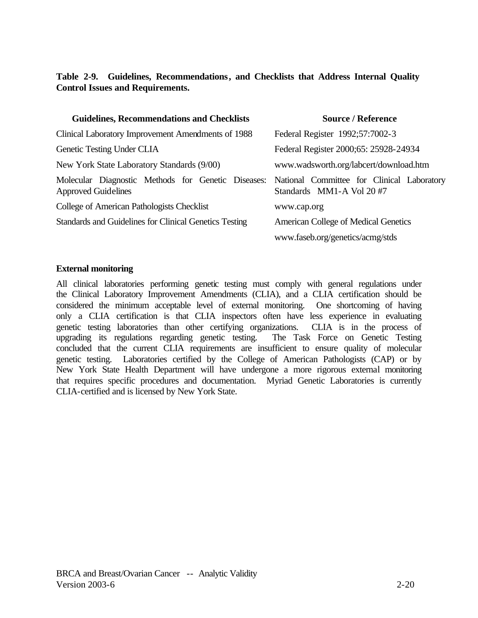# Table 2-9. Guidelines, Recommendations, and Checklists that Address Internal Quality **Control Issues and Requirements.**

| <b>Guidelines, Recommendations and Checklists</b>                                                                           | <b>Source / Reference</b>                   |  |  |
|-----------------------------------------------------------------------------------------------------------------------------|---------------------------------------------|--|--|
| Clinical Laboratory Improvement Amendments of 1988                                                                          | Federal Register 1992;57:7002-3             |  |  |
| Genetic Testing Under CLIA                                                                                                  | Federal Register 2000;65: 25928-24934       |  |  |
| New York State Laboratory Standards (9/00)                                                                                  | www.wadsworth.org/labcert/download.htm      |  |  |
| Molecular Diagnostic Methods for Genetic Diseases: National Committee for Clinical Laboratory<br><b>Approved Guidelines</b> | Standards MM1-A Vol 20 #7                   |  |  |
| College of American Pathologists Checklist                                                                                  | www.cap.org                                 |  |  |
| Standards and Guidelines for Clinical Genetics Testing                                                                      | <b>American College of Medical Genetics</b> |  |  |
|                                                                                                                             | www.faseb.org/genetics/acmg/stds            |  |  |

## **External monitoring**

All clinical laboratories performing genetic testing must comply with general regulations under the Clinical Laboratory Improvement Amendments (CLIA), and a CLIA certification should be considered the minimum acceptable level of external monitoring. One shortcoming of having only a CLIA certification is that CLIA inspectors often have less experience in evaluating genetic testing laboratories than other certifying organizations. CLIA is in the process of upgrading its regulations regarding genetic testing. The Task Force on Genetic Testing concluded that the current CLIA requirements are insufficient to ensure quality of molecular genetic testing. Laboratories certified by the College of American Pathologists (CAP) or by New York State Health Department will have undergone a more rigorous external monitoring that requires specific procedures and documentation. Myriad Genetic Laboratories is currently CLIA-certified and is licensed by New York State.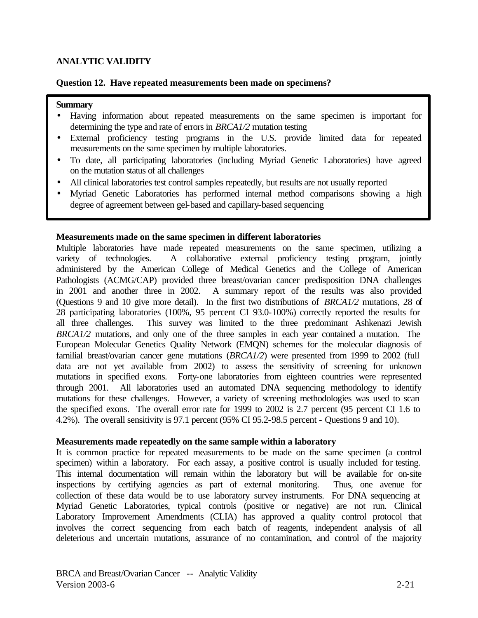## **Question 12. Have repeated measurements been made on specimens?**

#### **Summary**

- Having information about repeated measurements on the same specimen is important for determining the type and rate of errors in *BRCA1/2* mutation testing
- External proficiency testing programs in the U.S. provide limited data for repeated measurements on the same specimen by multiple laboratories.
- To date, all participating laboratories (including Myriad Genetic Laboratories) have agreed on the mutation status of all challenges
- All clinical laboratories test control samples repeatedly, but results are not usually reported
- Myriad Genetic Laboratories has performed internal method comparisons showing a high degree of agreement between gel-based and capillary-based sequencing

#### **Measurements made on the same specimen in different laboratories**

Multiple laboratories have made repeated measurements on the same specimen, utilizing a variety of technologies. A collaborative external proficiency testing program, jointly administered by the American College of Medical Genetics and the College of American Pathologists (ACMG/CAP) provided three breast/ovarian cancer predisposition DNA challenges in 2001 and another three in 2002. A summary report of the results was also provided (Questions 9 and 10 give more detail). In the first two distributions of *BRCA1/2* mutations, 28 of 28 participating laboratories (100%, 95 percent CI 93.0-100%) correctly reported the results for all three challenges. This survey was limited to the three predominant Ashkenazi Jewish *BRCA1/2* mutations, and only one of the three samples in each year contained a mutation. The European Molecular Genetics Quality Network (EMQN) schemes for the molecular diagnosis of familial breast/ovarian cancer gene mutations (*BRCA1/2*) were presented from 1999 to 2002 (full data are not yet available from 2002) to assess the sensitivity of screening for unknown mutations in specified exons. Forty-one laboratories from eighteen countries were represented through 2001. All laboratories used an automated DNA sequencing methodology to identify mutations for these challenges. However, a variety of screening methodologies was used to scan the specified exons. The overall error rate for 1999 to 2002 is 2.7 percent (95 percent CI 1.6 to 4.2%). The overall sensitivity is 97.1 percent (95% CI 95.2-98.5 percent - Questions 9 and 10).

#### **Measurements made repeatedly on the same sample within a laboratory**

It is common practice for repeated measurements to be made on the same specimen (a control specimen) within a laboratory. For each assay, a positive control is usually included for testing. This internal documentation will remain within the laboratory but will be available for on-site inspections by certifying agencies as part of external monitoring. Thus, one avenue for collection of these data would be to use laboratory survey instruments. For DNA sequencing at Myriad Genetic Laboratories, typical controls (positive or negative) are not run. Clinical Laboratory Improvement Amendments (CLIA) has approved a quality control protocol that involves the correct sequencing from each batch of reagents, independent analysis of all deleterious and uncertain mutations, assurance of no contamination, and control of the majority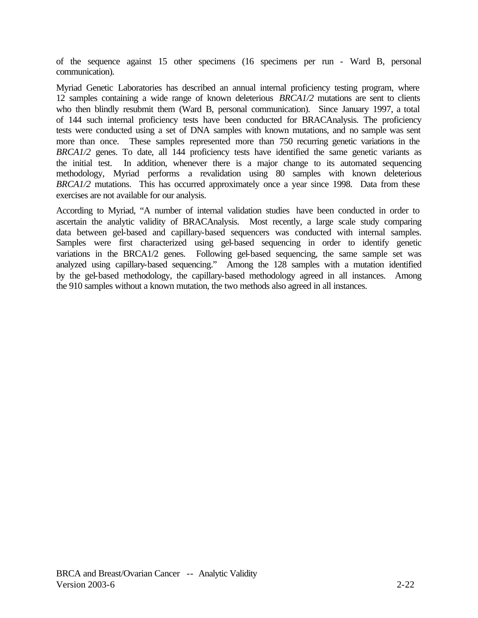of the sequence against 15 other specimens (16 specimens per run - Ward B, personal communication).

Myriad Genetic Laboratories has described an annual internal proficiency testing program, where 12 samples containing a wide range of known deleterious *BRCA1/2* mutations are sent to clients who then blindly resubmit them (Ward B, personal communication). Since January 1997, a total of 144 such internal proficiency tests have been conducted for BRACAnalysis. The proficiency tests were conducted using a set of DNA samples with known mutations, and no sample was sent more than once. These samples represented more than 750 recurring genetic variations in the *BRCA1/2* genes. To date, all 144 proficiency tests have identified the same genetic variants as the initial test. In addition, whenever there is a major change to its automated sequencing methodology, Myriad performs a revalidation using 80 samples with known deleterious *BRCA1/2* mutations. This has occurred approximately once a year since 1998. Data from these exercises are not available for our analysis.

According to Myriad, "A number of internal validation studies have been conducted in order to ascertain the analytic validity of BRACAnalysis. Most recently, a large scale study comparing data between gel-based and capillary-based sequencers was conducted with internal samples. Samples were first characterized using gel-based sequencing in order to identify genetic variations in the BRCA1/2 genes. Following gel-based sequencing, the same sample set was analyzed using capillary-based sequencing." Among the 128 samples with a mutation identified by the gel-based methodology, the capillary-based methodology agreed in all instances. Among the 910 samples without a known mutation, the two methods also agreed in all instances.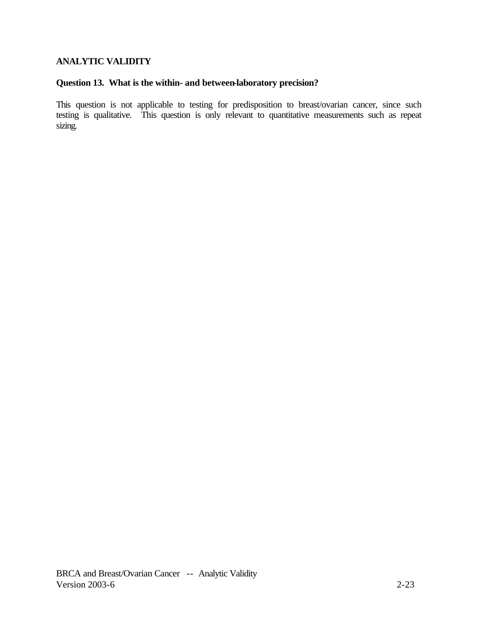# **Question 13. What is the within- and between-laboratory precision?**

This question is not applicable to testing for predisposition to breast/ovarian cancer, since such testing is qualitative. This question is only relevant to quantitative measurements such as repeat sizing.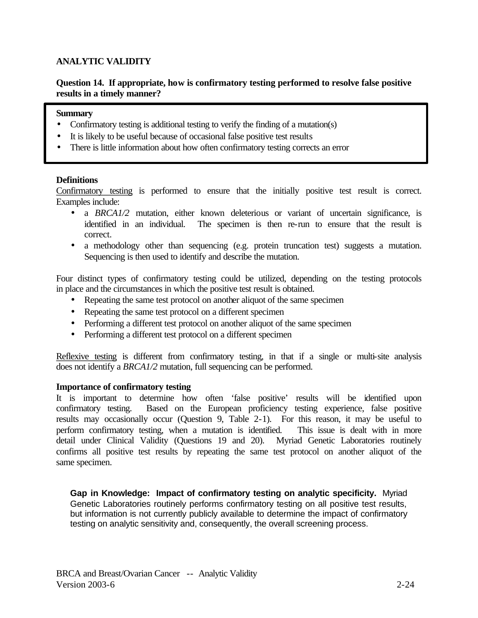# **Question 14. If appropriate, how is confirmatory testing performed to resolve false positive results in a timely manner?**

## **Summary**

- Confirmatory testing is additional testing to verify the finding of a mutation(s)
- It is likely to be useful because of occasional false positive test results
- There is little information about how often confirmatory testing corrects an error

# **Definitions**

Confirmatory testing is performed to ensure that the initially positive test result is correct. Examples include:

- a *BRCA1/2* mutation, either known deleterious or variant of uncertain significance, is identified in an individual. The specimen is then re-run to ensure that the result is correct.
- a methodology other than sequencing (e.g. protein truncation test) suggests a mutation. Sequencing is then used to identify and describe the mutation.

Four distinct types of confirmatory testing could be utilized, depending on the testing protocols in place and the circumstances in which the positive test result is obtained.

- Repeating the same test protocol on another aliquot of the same specimen
- Repeating the same test protocol on a different specimen
- Performing a different test protocol on another aliquot of the same specimen
- Performing a different test protocol on a different specimen

Reflexive testing is different from confirmatory testing, in that if a single or multi-site analysis does not identify a *BRCA1/2* mutation, full sequencing can be performed.

## **Importance of confirmatory testing**

It is important to determine how often 'false positive' results will be identified upon confirmatory testing. Based on the European proficiency testing experience, false positive results may occasionally occur (Question 9, Table 2-1). For this reason, it may be useful to perform confirmatory testing, when a mutation is identified. This issue is dealt with in more detail under Clinical Validity (Questions 19 and 20). Myriad Genetic Laboratories routinely confirms all positive test results by repeating the same test protocol on another aliquot of the same specimen.

**Gap in Knowledge: Impact of confirmatory testing on analytic specificity.** Myriad Genetic Laboratories routinely performs confirmatory testing on all positive test results, but information is not currently publicly available to determine the impact of confirmatory testing on analytic sensitivity and, consequently, the overall screening process.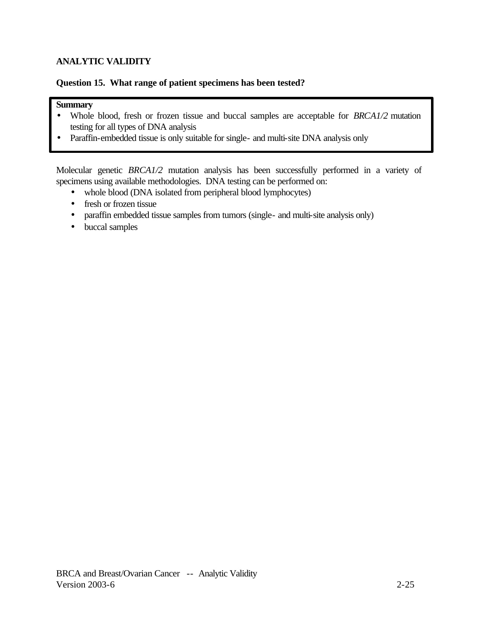# **Question 15. What range of patient specimens has been tested?**

# **Summary**

- Whole blood, fresh or frozen tissue and buccal samples are acceptable for *BRCA1/2* mutation testing for all types of DNA analysis
- Paraffin-embedded tissue is only suitable for single- and multi-site DNA analysis only

Molecular genetic *BRCA1/2* mutation analysis has been successfully performed in a variety of specimens using available methodologies. DNA testing can be performed on:

- whole blood (DNA isolated from peripheral blood lymphocytes)
- fresh or frozen tissue
- paraffin embedded tissue samples from tumors (single- and multi-site analysis only)
- buccal samples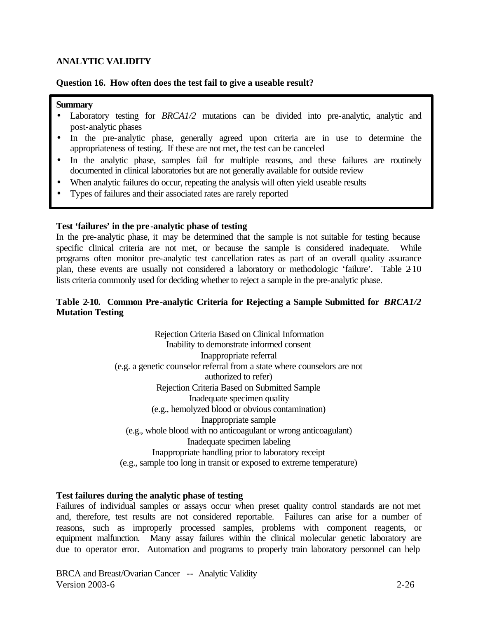## **Question 16. How often does the test fail to give a useable result?**

#### **Summary**

- Laboratory testing for *BRCA1/2* mutations can be divided into pre-analytic, analytic and post-analytic phases
- In the pre-analytic phase, generally agreed upon criteria are in use to determine the appropriateness of testing. If these are not met, the test can be canceled
- In the analytic phase, samples fail for multiple reasons, and these failures are routinely documented in clinical laboratories but are not generally available for outside review
- When analytic failures do occur, repeating the analysis will often yield useable results
- Types of failures and their associated rates are rarely reported

#### **Test 'failures' in the pre-analytic phase of testing**

In the pre-analytic phase, it may be determined that the sample is not suitable for testing because specific clinical criteria are not met, or because the sample is considered inadequate. While programs often monitor pre-analytic test cancellation rates as part of an overall quality assurance plan, these events are usually not considered a laboratory or methodologic 'failure'. Table 2-10 lists criteria commonly used for deciding whether to reject a sample in the pre-analytic phase.

# **Table 2-10. Common Pre-analytic Criteria for Rejecting a Sample Submitted for** *BRCA1/2*  **Mutation Testing**

Rejection Criteria Based on Clinical Information Inability to demonstrate informed consent Inappropriate referral (e.g. a genetic counselor referral from a state where counselors are not authorized to refer) Rejection Criteria Based on Submitted Sample Inadequate specimen quality (e.g., hemolyzed blood or obvious contamination) Inappropriate sample (e.g., whole blood with no anticoagulant or wrong anticoagulant) Inadequate specimen labeling Inappropriate handling prior to laboratory receipt (e.g., sample too long in transit or exposed to extreme temperature)

## **Test failures during the analytic phase of testing**

Failures of individual samples or assays occur when preset quality control standards are not met and, therefore, test results are not considered reportable. Failures can arise for a number of reasons, such as improperly processed samples, problems with component reagents, or equipment malfunction. Many assay failures within the clinical molecular genetic laboratory are due to operator error. Automation and programs to properly train laboratory personnel can help

BRCA and Breast/Ovarian Cancer -- Analytic Validity Version 2003-6 2-26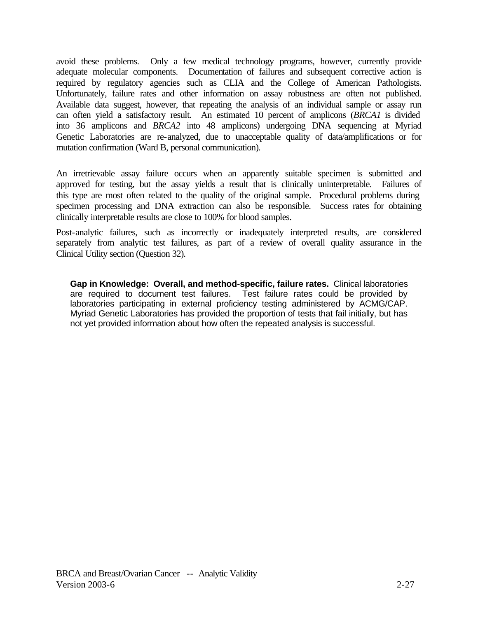avoid these problems. Only a few medical technology programs, however, currently provide adequate molecular components. Documentation of failures and subsequent corrective action is required by regulatory agencies such as CLIA and the College of American Pathologists. Unfortunately, failure rates and other information on assay robustness are often not published. Available data suggest, however, that repeating the analysis of an individual sample or assay run can often yield a satisfactory result. An estimated 10 percent of amplicons (*BRCA1* is divided into 36 amplicons and *BRCA2* into 48 amplicons) undergoing DNA sequencing at Myriad Genetic Laboratories are re-analyzed, due to unacceptable quality of data/amplifications or for mutation confirmation (Ward B, personal communication).

An irretrievable assay failure occurs when an apparently suitable specimen is submitted and approved for testing, but the assay yields a result that is clinically uninterpretable. Failures of this type are most often related to the quality of the original sample. Procedural problems during specimen processing and DNA extraction can also be responsible. Success rates for obtaining clinically interpretable results are close to 100% for blood samples.

Post-analytic failures, such as incorrectly or inadequately interpreted results, are considered separately from analytic test failures, as part of a review of overall quality assurance in the Clinical Utility section (Question 32).

**Gap in Knowledge: Overall, and method-specific, failure rates.** Clinical laboratories are required to document test failures. Test failure rates could be provided by laboratories participating in external proficiency testing administered by ACMG/CAP. Myriad Genetic Laboratories has provided the proportion of tests that fail initially, but has not yet provided information about how often the repeated analysis is successful.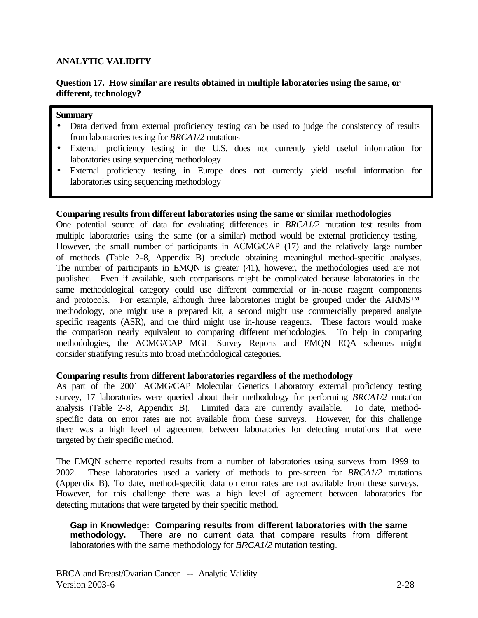## **Question 17. How similar are results obtained in multiple laboratories using the same, or different, technology?**

#### **Summary**

- Data derived from external proficiency testing can be used to judge the consistency of results from laboratories testing for *BRCA1/2* mutations
- External proficiency testing in the U.S. does not currently yield useful information for laboratories using sequencing methodology
- External proficiency testing in Europe does not currently yield useful information for laboratories using sequencing methodology

#### **Comparing results from different laboratories using the same or similar methodologies**

One potential source of data for evaluating differences in *BRCA1/2* mutation test results from multiple laboratories using the same (or a similar) method would be external proficiency testing. However, the small number of participants in ACMG/CAP (17) and the relatively large number of methods (Table 2-8, Appendix B) preclude obtaining meaningful method-specific analyses. The number of participants in EMQN is greater (41), however, the methodologies used are not published. Even if available, such comparisons might be complicated because laboratories in the same methodological category could use different commercial or in-house reagent components and protocols. For example, although three laboratories might be grouped under the ARMS™ methodology, one might use a prepared kit, a second might use commercially prepared analyte specific reagents (ASR), and the third might use in-house reagents. These factors would make the comparison nearly equivalent to comparing different methodologies. To help in comparing methodologies, the ACMG/CAP MGL Survey Reports and EMQN EQA schemes might consider stratifying results into broad methodological categories.

## **Comparing results from different laboratories regardless of the methodology**

As part of the 2001 ACMG/CAP Molecular Genetics Laboratory external proficiency testing survey, 17 laboratories were queried about their methodology for performing *BRCA1/2* mutation analysis (Table 2-8, Appendix B). Limited data are currently available. To date, methodspecific data on error rates are not available from these surveys. However, for this challenge there was a high level of agreement between laboratories for detecting mutations that were targeted by their specific method.

The EMQN scheme reported results from a number of laboratories using surveys from 1999 to 2002. These laboratories used a variety of methods to pre-screen for *BRCA1/2* mutations (Appendix B). To date, method-specific data on error rates are not available from these surveys. However, for this challenge there was a high level of agreement between laboratories for detecting mutations that were targeted by their specific method.

**Gap in Knowledge: Comparing results from different laboratories with the same methodology.** There are no current data that compare results from different laboratories with the same methodology for *BRCA1/2* mutation testing.